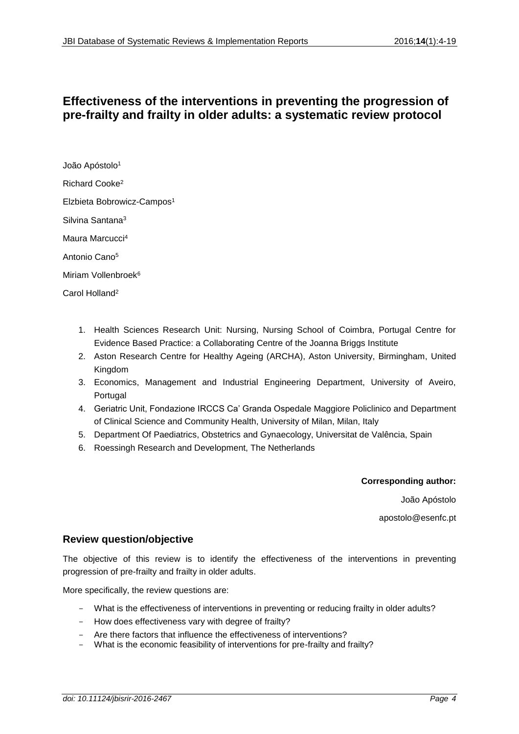# **Effectiveness of the interventions in preventing the progression of pre-frailty and frailty in older adults: a systematic review protocol**

João Apóstolo<sup>1</sup> Richard Cooke<sup>2</sup> Elzbieta Bobrowicz-Campos<sup>1</sup> Silvina Santana<sup>3</sup> Maura Marcucci<sup>4</sup> Antonio Cano<sup>5</sup> Miriam Vollenbroek<sup>6</sup> Carol Holland<sup>2</sup>

- 1. Health Sciences Research Unit: Nursing, Nursing School of Coimbra, Portugal Centre for Evidence Based Practice: a Collaborating Centre of the Joanna Briggs Institute
- 2. Aston Research Centre for Healthy Ageing (ARCHA), Aston University, Birmingham, United Kingdom
- 3. Economics, Management and Industrial Engineering Department, University of Aveiro, Portugal
- 4. Geriatric Unit, Fondazione IRCCS Ca' Granda Ospedale Maggiore Policlinico and Department of Clinical Science and Community Health, University of Milan, Milan, Italy
- 5. Department Of Paediatrics, Obstetrics and Gynaecology, Universitat de Valência, Spain
- 6. Roessingh Research and Development, The Netherlands

#### **Corresponding author:**

João Apóstolo

apostolo@esenfc.pt

### **Review question/objective**

The objective of this review is to identify the effectiveness of the interventions in preventing progression of pre-frailty and frailty in older adults.

More specifically, the review questions are:

- What is the effectiveness of interventions in preventing or reducing frailty in older adults?
- How does effectiveness vary with degree of frailty?
- Are there factors that influence the effectiveness of interventions?
- What is the economic feasibility of interventions for pre-frailty and frailty?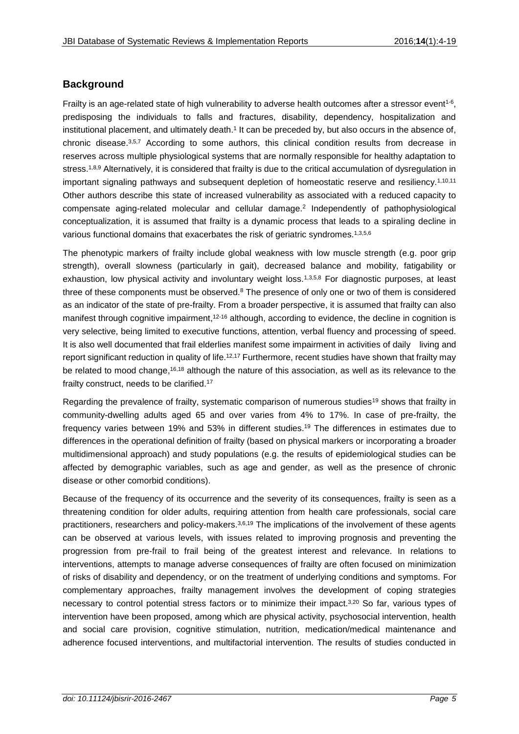## **Background**

Frailty is an age-related state of high vulnerability to adverse health outcomes after a stressor event<sup>1-6</sup>, predisposing the individuals to falls and fractures, disability, dependency, hospitalization and institutional placement, and ultimately death.<sup>1</sup> It can be preceded by, but also occurs in the absence of, chronic disease.3,5,7 According to some authors, this clinical condition results from decrease in reserves across multiple physiological systems that are normally responsible for healthy adaptation to stress.<sup>1,8,9</sup> Alternatively, it is considered that frailty is due to the critical accumulation of dysregulation in important signaling pathways and subsequent depletion of homeostatic reserve and resiliency.<sup>1,10,11</sup> Other authors describe this state of increased vulnerability as associated with a reduced capacity to compensate aging-related molecular and cellular damage.<sup>2</sup> Independently of pathophysiological conceptualization, it is assumed that frailty is a dynamic process that leads to a spiraling decline in various functional domains that exacerbates the risk of geriatric syndromes.<sup>1,3,5,6</sup>

The phenotypic markers of frailty include global weakness with low muscle strength (e.g. poor grip strength), overall slowness (particularly in gait), decreased balance and mobility, fatigability or exhaustion, low physical activity and involuntary weight loss.<sup>1,3,5,8</sup> For diagnostic purposes, at least three of these components must be observed.<sup>8</sup> The presence of only one or two of them is considered as an indicator of the state of pre-frailty. From a broader perspective, it is assumed that frailty can also manifest through cognitive impairment,<sup>12-16</sup> although, according to evidence, the decline in cognition is very selective, being limited to executive functions, attention, verbal fluency and processing of speed. It is also well documented that frail elderlies manifest some impairment in activities of daily living and report significant reduction in quality of life.<sup>12,17</sup> Furthermore, recent studies have shown that frailty may be related to mood change,<sup>16,18</sup> although the nature of this association, as well as its relevance to the frailty construct, needs to be clarified.<sup>17</sup>

Regarding the prevalence of frailty, systematic comparison of numerous studies<sup>19</sup> shows that frailty in community-dwelling adults aged 65 and over varies from 4% to 17%. In case of pre-frailty, the frequency varies between 19% and 53% in different studies. <sup>19</sup> The differences in estimates due to differences in the operational definition of frailty (based on physical markers or incorporating a broader multidimensional approach) and study populations (e.g. the results of epidemiological studies can be affected by demographic variables, such as age and gender, as well as the presence of chronic disease or other comorbid conditions).

Because of the frequency of its occurrence and the severity of its consequences, frailty is seen as a threatening condition for older adults, requiring attention from health care professionals, social care practitioners, researchers and policy-makers.3,6,19 The implications of the involvement of these agents can be observed at various levels, with issues related to improving prognosis and preventing the progression from pre-frail to frail being of the greatest interest and relevance. In relations to interventions, attempts to manage adverse consequences of frailty are often focused on minimization of risks of disability and dependency, or on the treatment of underlying conditions and symptoms. For complementary approaches, frailty management involves the development of coping strategies necessary to control potential stress factors or to minimize their impact.3,20 So far, various types of intervention have been proposed, among which are physical activity, psychosocial intervention, health and social care provision, cognitive stimulation, nutrition, medication/medical maintenance and adherence focused interventions, and multifactorial intervention. The results of studies conducted in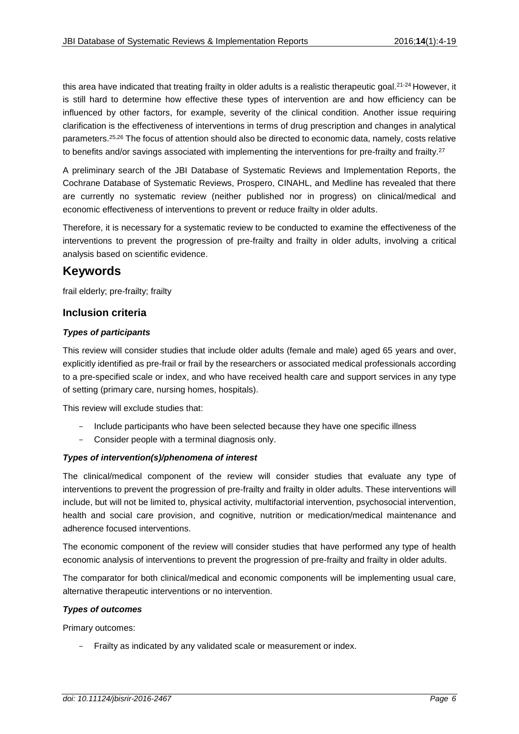this area have indicated that treating frailty in older adults is a realistic therapeutic goal.<sup>21-24</sup> However, it is still hard to determine how effective these types of intervention are and how efficiency can be influenced by other factors, for example, severity of the clinical condition. Another issue requiring clarification is the effectiveness of interventions in terms of drug prescription and changes in analytical parameters.25,26 The focus of attention should also be directed to economic data, namely, costs relative to benefits and/or savings associated with implementing the interventions for pre-frailty and frailty.<sup>27</sup>

A preliminary search of the JBI Database of Systematic Reviews and Implementation Reports, the Cochrane Database of Systematic Reviews, Prospero, CINAHL, and Medline has revealed that there are currently no systematic review (neither published nor in progress) on clinical/medical and economic effectiveness of interventions to prevent or reduce frailty in older adults.

Therefore, it is necessary for a systematic review to be conducted to examine the effectiveness of the interventions to prevent the progression of pre-frailty and frailty in older adults, involving a critical analysis based on scientific evidence.

## **Keywords**

frail elderly; pre-frailty; frailty

### **Inclusion criteria**

### *Types of participants*

This review will consider studies that include older adults (female and male) aged 65 years and over, explicitly identified as pre-frail or frail by the researchers or associated medical professionals according to a pre-specified scale or index, and who have received health care and support services in any type of setting (primary care, nursing homes, hospitals).

This review will exclude studies that:

- Include participants who have been selected because they have one specific illness
- Consider people with a terminal diagnosis only.

### *Types of intervention(s)/phenomena of interest*

The clinical/medical component of the review will consider studies that evaluate any type of interventions to prevent the progression of pre-frailty and frailty in older adults. These interventions will include, but will not be limited to, physical activity, multifactorial intervention, psychosocial intervention, health and social care provision, and cognitive, nutrition or medication/medical maintenance and adherence focused interventions.

The economic component of the review will consider studies that have performed any type of health economic analysis of interventions to prevent the progression of pre-frailty and frailty in older adults.

The comparator for both clinical/medical and economic components will be implementing usual care, alternative therapeutic interventions or no intervention.

#### *Types of outcomes*

Primary outcomes:

- Frailty as indicated by any validated scale or measurement or index.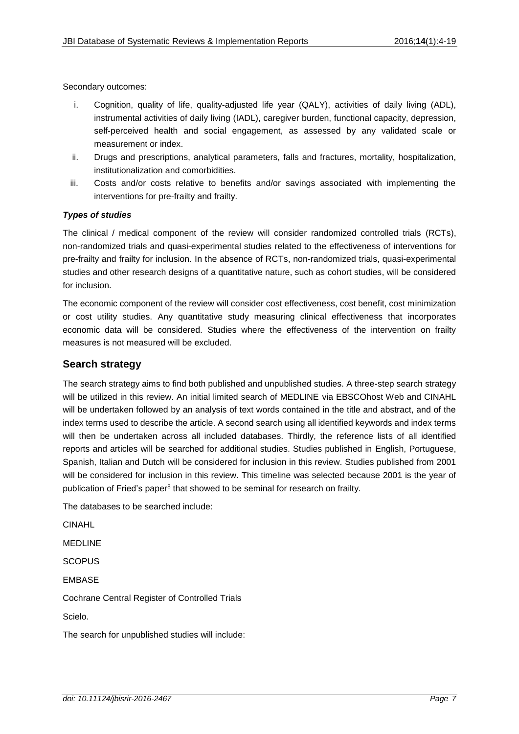Secondary outcomes:

- i. Cognition, quality of life, quality-adjusted life year (QALY), activities of daily living (ADL), instrumental activities of daily living (IADL), caregiver burden, functional capacity, depression, self-perceived health and social engagement, as assessed by any validated scale or measurement or index.
- ii. Drugs and prescriptions, analytical parameters, falls and fractures, mortality, hospitalization, institutionalization and comorbidities.
- iii. Costs and/or costs relative to benefits and/or savings associated with implementing the interventions for pre-frailty and frailty.

#### *Types of studies*

The clinical / medical component of the review will consider randomized controlled trials (RCTs), non-randomized trials and quasi-experimental studies related to the effectiveness of interventions for pre-frailty and frailty for inclusion. In the absence of RCTs, non-randomized trials, quasi-experimental studies and other research designs of a quantitative nature, such as cohort studies, will be considered for inclusion.

The economic component of the review will consider cost effectiveness, cost benefit, cost minimization or cost utility studies. Any quantitative study measuring clinical effectiveness that incorporates economic data will be considered. Studies where the effectiveness of the intervention on frailty measures is not measured will be excluded.

#### **Search strategy**

The search strategy aims to find both published and unpublished studies. A three-step search strategy will be utilized in this review. An initial limited search of MEDLINE via EBSCOhost Web and CINAHL will be undertaken followed by an analysis of text words contained in the title and abstract, and of the index terms used to describe the article. A second search using all identified keywords and index terms will then be undertaken across all included databases. Thirdly, the reference lists of all identified reports and articles will be searched for additional studies. Studies published in English, Portuguese, Spanish, Italian and Dutch will be considered for inclusion in this review. Studies published from 2001 will be considered for inclusion in this review. This timeline was selected because 2001 is the year of publication of Fried's paper<sup>8</sup> that showed to be seminal for research on frailty.

The databases to be searched include:

CINAHL

MEDLINE

**SCOPUS** 

EMBASE

Cochrane Central Register of Controlled Trials

Scielo.

The search for unpublished studies will include: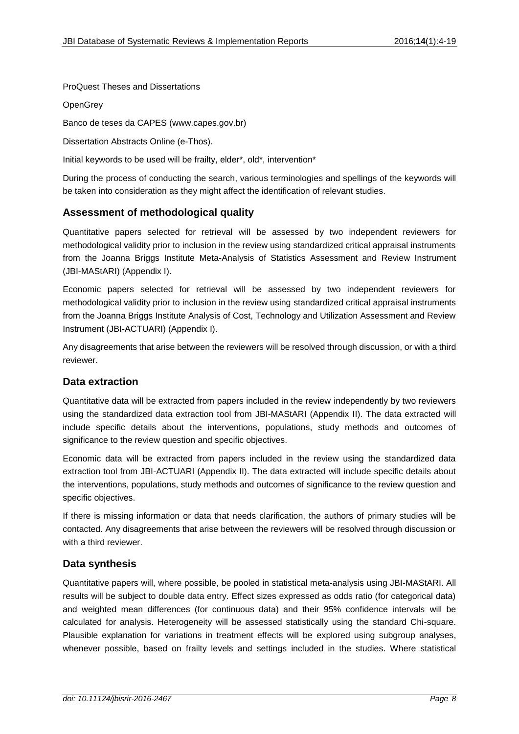### ProQuest Theses and Dissertations

**OpenGrey** 

Banco de teses da CAPES [\(www.capes.gov.br\)](http://www.capes.gov.br/)

Dissertation Abstracts Online (e-Thos).

Initial keywords to be used will be frailty, elder\*, old\*, intervention\*

During the process of conducting the search, various terminologies and spellings of the keywords will be taken into consideration as they might affect the identification of relevant studies.

## **Assessment of methodological quality**

Quantitative papers selected for retrieval will be assessed by two independent reviewers for methodological validity prior to inclusion in the review using standardized critical appraisal instruments from the Joanna Briggs Institute Meta-Analysis of Statistics Assessment and Review Instrument (JBI-MAStARI) (Appendix I).

Economic papers selected for retrieval will be assessed by two independent reviewers for methodological validity prior to inclusion in the review using standardized critical appraisal instruments from the Joanna Briggs Institute Analysis of Cost, Technology and Utilization Assessment and Review Instrument (JBI-ACTUARI) (Appendix I).

Any disagreements that arise between the reviewers will be resolved through discussion, or with a third reviewer.

### **Data extraction**

Quantitative data will be extracted from papers included in the review independently by two reviewers using the standardized data extraction tool from JBI-MAStARI (Appendix II). The data extracted will include specific details about the interventions, populations, study methods and outcomes of significance to the review question and specific objectives.

Economic data will be extracted from papers included in the review using the standardized data extraction tool from JBI-ACTUARI (Appendix II). The data extracted will include specific details about the interventions, populations, study methods and outcomes of significance to the review question and specific objectives.

If there is missing information or data that needs clarification, the authors of primary studies will be contacted. Any disagreements that arise between the reviewers will be resolved through discussion or with a third reviewer.

## **Data synthesis**

Quantitative papers will, where possible, be pooled in statistical meta-analysis using JBI-MAStARI. All results will be subject to double data entry. Effect sizes expressed as odds ratio (for categorical data) and weighted mean differences (for continuous data) and their 95% confidence intervals will be calculated for analysis. Heterogeneity will be assessed statistically using the standard Chi-square. Plausible explanation for variations in treatment effects will be explored using subgroup analyses, whenever possible, based on frailty levels and settings included in the studies. Where statistical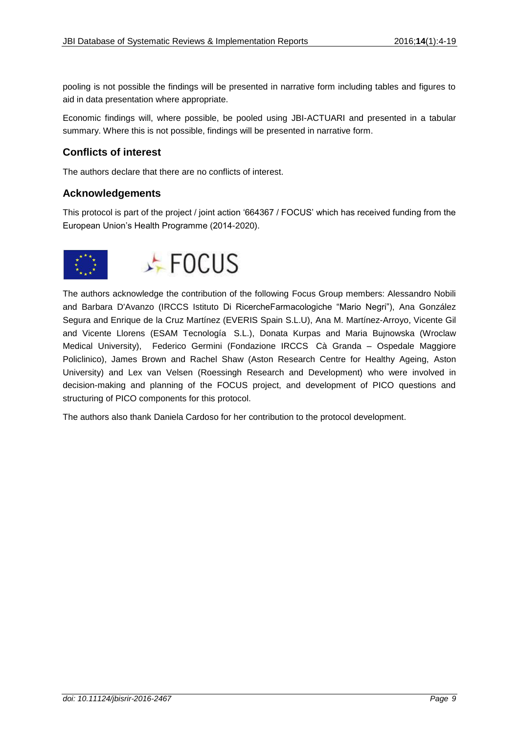pooling is not possible the findings will be presented in narrative form including tables and figures to aid in data presentation where appropriate.

Economic findings will, where possible, be pooled using JBI-ACTUARI and presented in a tabular summary. Where this is not possible, findings will be presented in narrative form.

## **Conflicts of interest**

The authors declare that there are no conflicts of interest.

### **Acknowledgements**

This protocol is part of the project / joint action '664367 / FOCUS' which has received funding from the European Union's Health Programme (2014-2020).





The authors acknowledge the contribution of the following Focus Group members: Alessandro Nobili and Barbara D'Avanzo (IRCCS Istituto Di RicercheFarmacologiche "Mario Negri"), Ana González Segura and Enrique de la Cruz Martínez (EVERIS Spain S.L.U), Ana M. Martínez-Arroyo, Vicente Gil and Vicente Llorens (ESAM Tecnología S.L.), Donata Kurpas and Maria Bujnowska (Wroclaw Medical University), Federico Germini (Fondazione IRCCS Cà Granda – Ospedale Maggiore Policlinico), James Brown and Rachel Shaw (Aston Research Centre for Healthy Ageing, Aston University) and Lex van Velsen (Roessingh Research and Development) who were involved in decision-making and planning of the FOCUS project, and development of PICO questions and structuring of PICO components for this protocol.

The authors also thank Daniela Cardoso for her contribution to the protocol development.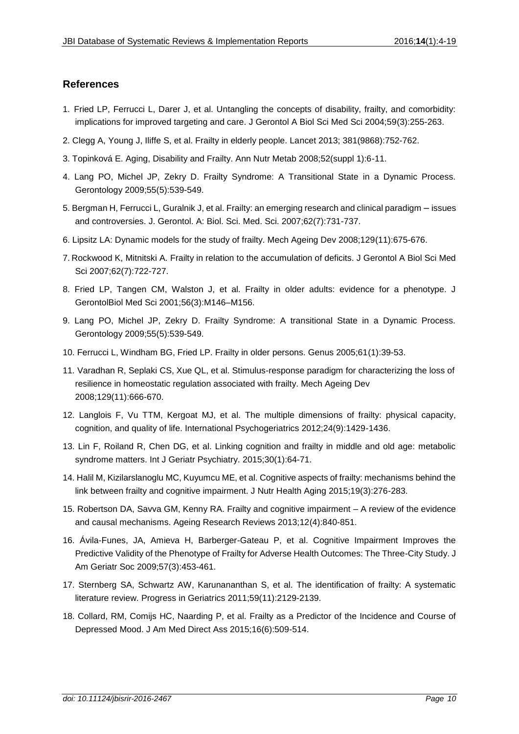## **References**

- 1. Fried LP, Ferrucci L, Darer J, et al. Untangling the concepts of disability, frailty, and comorbidity: implications for improved targeting and care. J Gerontol A Biol Sci Med Sci 2004;59(3):255-263.
- 2. Clegg A, Young J, Iliffe S, et al. Frailty in elderly people. Lancet 2013; 381(9868):752-762.
- 3. Topinková E. Aging, Disability and Frailty. Ann Nutr Metab 2008;52(suppl 1):6-11.
- 4. Lang PO, Michel JP, Zekry D. Frailty Syndrome: A Transitional State in a Dynamic Process. Gerontology 2009;55(5):539-549.
- 5. Bergman H, Ferrucci L, Guralnik J, et al. Frailty: an emerging research and clinical paradigm issues and controversies. J. Gerontol. A: Biol. Sci. Med. Sci. 2007;62(7):731-737.
- 6. Lipsitz LA: Dynamic models for the study of frailty. Mech Ageing Dev 2008;129(11):675-676.
- 7. Rockwood K, Mitnitski A. Frailty in relation to the accumulation of deficits. J Gerontol A Biol Sci Med Sci 2007;62(7):722-727.
- 8. Fried LP, Tangen CM, Walston J, et al. Frailty in older adults: evidence for a phenotype. J GerontolBiol Med Sci 2001;56(3):M146–M156.
- 9. Lang PO, Michel JP, Zekry D. Frailty Syndrome: A transitional State in a Dynamic Process. Gerontology 2009;55(5):539-549.
- 10. Ferrucci L, Windham BG, Fried LP. Frailty in older persons. Genus 2005;61(1):39-53.
- 11. Varadhan R, Seplaki CS, Xue QL, et al. Stimulus-response paradigm for characterizing the loss of resilience in homeostatic regulation associated with frailty. Mech Ageing Dev 2008;129(11):666-670.
- 12. Langlois F, Vu TTM, Kergoat MJ, et al. The multiple dimensions of frailty: physical capacity, cognition, and quality of life. International Psychogeriatrics 2012;24(9):1429-1436.
- 13. Lin F, Roiland R, Chen DG, et al. Linking cognition and frailty in middle and old age: metabolic syndrome matters. Int J Geriatr Psychiatry. 2015;30(1):64-71.
- 14. Halil M, Kizilarslanoglu MC, Kuyumcu ME, et al. Cognitive aspects of frailty: mechanisms behind the link between frailty and cognitive impairment. J Nutr Health Aging 2015;19(3):276-283.
- 15. Robertson DA, Savva GM, Kenny RA. Frailty and cognitive impairment A review of the evidence and causal mechanisms. Ageing Research Reviews 2013;12(4):840-851.
- 16. Ávila-Funes, JA, Amieva H, Barberger-Gateau P, et al. Cognitive Impairment Improves the Predictive Validity of the Phenotype of Frailty for Adverse Health Outcomes: The Three-City Study. J Am Geriatr Soc 2009;57(3):453-461.
- 17. Sternberg SA, Schwartz AW, Karunananthan S, et al. The identification of frailty: A systematic literature review. Progress in Geriatrics 2011;59(11):2129-2139.
- 18. Collard, RM, Comijs HC, Naarding P, et al. Frailty as a Predictor of the Incidence and Course of Depressed Mood. J Am Med Direct Ass 2015;16(6):509-514.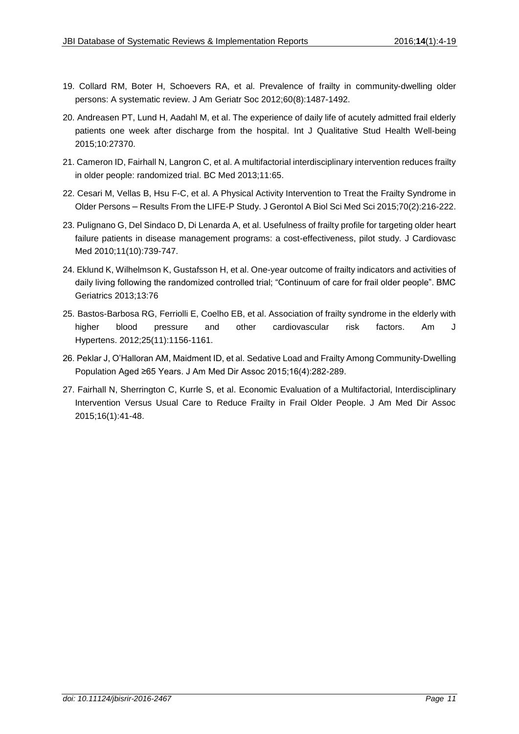- 19. Collard RM, Boter H, Schoevers RA, et al. Prevalence of frailty in community-dwelling older persons: A systematic review. J Am Geriatr Soc 2012;60(8):1487-1492.
- 20. Andreasen PT, Lund H, Aadahl M, et al. The experience of daily life of acutely admitted frail elderly patients one week after discharge from the hospital. Int J Qualitative Stud Health Well-being 2015;10:27370.
- 21. Cameron ID, Fairhall N, Langron C, et al. A multifactorial interdisciplinary intervention reduces frailty in older people: randomized trial. BC Med 2013;11:65.
- 22. Cesari M, Vellas B, Hsu F-C, et al. A Physical Activity Intervention to Treat the Frailty Syndrome in Older Persons – Results From the LIFE-P Study. J Gerontol A Biol Sci Med Sci 2015;70(2):216-222.
- 23. Pulignano G, Del Sindaco D, Di Lenarda A, et al. Usefulness of frailty profile for targeting older heart failure patients in disease management programs: a cost-effectiveness, pilot study. J Cardiovasc Med 2010;11(10):739-747.
- 24. Eklund K, Wilhelmson K, Gustafsson H, et al. One-year outcome of frailty indicators and activities of daily living following the randomized controlled trial; "Continuum of care for frail older people". BMC Geriatrics 2013;13:76
- 25. Bastos-Barbosa RG, Ferriolli E, Coelho EB, et al. Association of frailty syndrome in the elderly with higher blood pressure and other cardiovascular risk factors. Am J Hypertens. 2012;25(11):1156-1161.
- 26. Peklar J, O'Halloran AM, Maidment ID, et al. Sedative Load and Frailty Among Community-Dwelling Population Aged ≥65 Years. J Am Med Dir Assoc 2015;16(4):282-289.
- 27. Fairhall N, Sherrington C, Kurrle S, et al. Economic Evaluation of a Multifactorial, Interdisciplinary Intervention Versus Usual Care to Reduce Frailty in Frail Older People. J Am Med Dir Assoc 2015;16(1):41-48.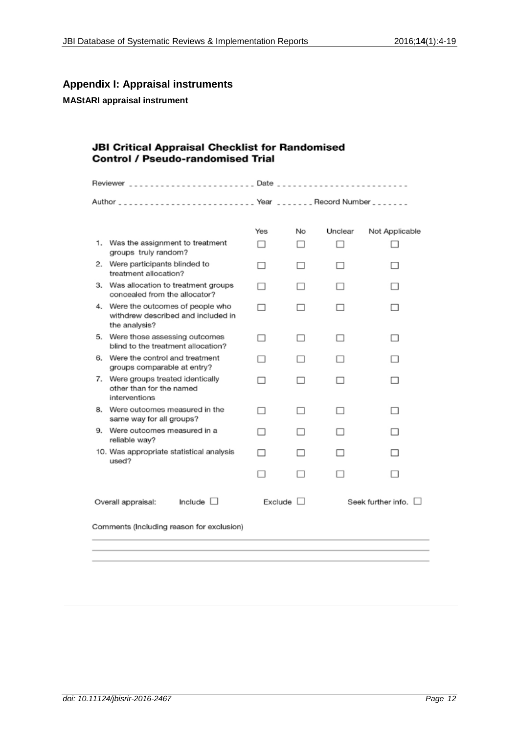## **Appendix I: Appraisal instruments**

#### **MAStARI appraisal instrument**

## **JBI Critical Appraisal Checklist for Randomised Control / Pseudo-randomised Trial**

|                                      | Author __________________________ Year _______ Record Number _______                      |     |         |         |                    |  |
|--------------------------------------|-------------------------------------------------------------------------------------------|-----|---------|---------|--------------------|--|
|                                      |                                                                                           | Yes | No      | Unclear | Not Applicable     |  |
|                                      | 1. Was the assignment to treatment<br>groups truly random?                                |     |         |         |                    |  |
| 2.                                   | Were participants blinded to<br>treatment allocation?                                     |     |         |         |                    |  |
| З.                                   | Was allocation to treatment groups<br>concealed from the allocator?                       |     |         |         |                    |  |
|                                      | 4. Were the outcomes of people who<br>withdrew described and included in<br>the analysis? |     |         |         |                    |  |
| 5.                                   | Were those assessing outcomes<br>blind to the treatment allocation?                       |     |         |         |                    |  |
| 6.                                   | Were the control and treatment<br>groups comparable at entry?                             |     |         |         |                    |  |
| 7.                                   | Were groups treated identically<br>other than for the named<br>interventions              | - 1 | - 1     |         |                    |  |
| 8.                                   | Were outcomes measured in the<br>same way for all groups?                                 |     |         |         |                    |  |
| 9.                                   | Were outcomes measured in a<br>reliable way?                                              |     |         |         |                    |  |
|                                      | 10. Was appropriate statistical analysis<br>used?                                         |     |         |         |                    |  |
|                                      |                                                                                           |     |         |         |                    |  |
| Include $\Box$<br>Overall appraisal: |                                                                                           |     | Exclude |         | Seek further info. |  |
|                                      | Comments (Including reason for exclusion)                                                 |     |         |         |                    |  |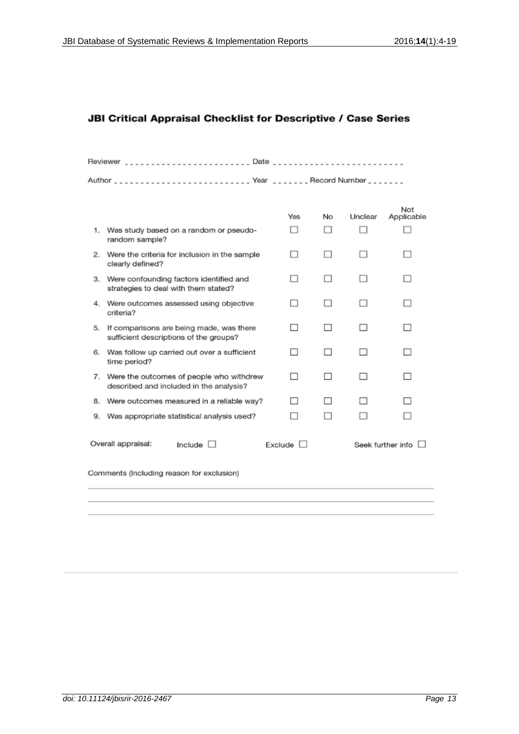### JBI Critical Appraisal Checklist for Descriptive / Case Series

|    |                                                                                        | Yes     | No | Unclear | Not<br>Applicable |
|----|----------------------------------------------------------------------------------------|---------|----|---------|-------------------|
|    | 1. Was study based on a random or pseudo-<br>random sample?                            |         |    |         |                   |
| 2. | Were the criteria for inclusion in the sample<br>clearly defined?                      |         |    |         |                   |
|    | 3. Were confounding factors identified and<br>strategies to deal with them stated?     |         |    |         |                   |
| 4. | Were outcomes assessed using objective<br>criteria?                                    |         |    |         |                   |
| 5. | If comparisons are being made, was there<br>sufficient descriptions of the groups?     | П       |    |         |                   |
|    | 6. Was follow up carried out over a sufficient<br>time period?                         | п       |    |         |                   |
|    | 7. Were the outcomes of people who withdrew<br>described and included in the analysis? | H       |    |         |                   |
| 8. | Were outcomes measured in a reliable way?                                              | П       |    |         |                   |
| 9. | Was appropriate statistical analysis used?                                             |         |    |         |                   |
|    | Overall appraisal:<br>Include $\Box$                                                   | Exclude |    |         | Seek further info |
|    | Comments (Including reason for exclusion)                                              |         |    |         |                   |
|    |                                                                                        |         |    |         |                   |
|    |                                                                                        |         |    |         |                   |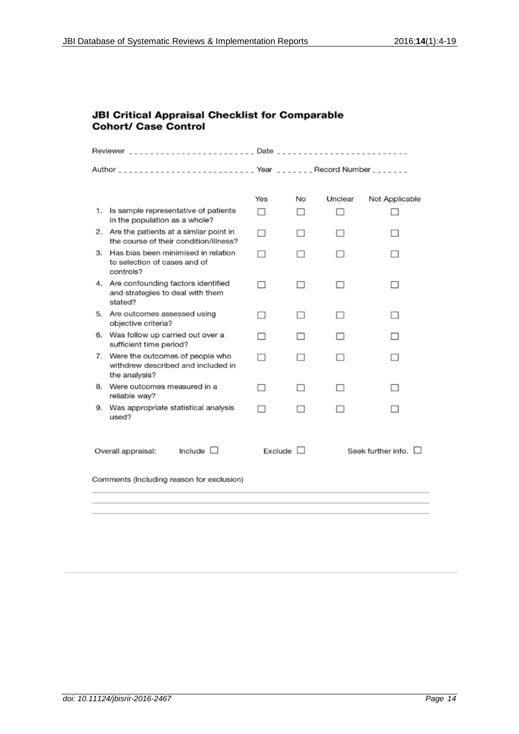## **JBI Critical Appraisal Checklist for Comparable Cohort/ Case Control**

|                                           |                                                                                        | Yes | No             | Unclear | Not Applicable       |  |
|-------------------------------------------|----------------------------------------------------------------------------------------|-----|----------------|---------|----------------------|--|
| 1.                                        | Is sample representative of patients<br>in the population as a whole?                  |     |                |         |                      |  |
|                                           | 2. Are the patients at a similar point in<br>the course of their condition/illness?    |     |                |         |                      |  |
| З.                                        | Has bias been minimised in relation<br>to selection of cases and of<br>controls?       |     |                |         |                      |  |
|                                           | 4. Are confounding factors identified<br>and strategies to deal with them<br>stated?   |     |                |         |                      |  |
|                                           | 5. Are outcomes assessed using<br>objective criteria?                                  |     |                |         |                      |  |
|                                           | 6. Was follow up carried out over a<br>sufficient time period?                         |     |                |         |                      |  |
| 7.                                        | Were the outcomes of people who<br>withdrew described and included in<br>the analysis? |     |                |         |                      |  |
| 8.                                        | Were outcomes measured in a<br>reliable way?                                           | . . |                |         | - 1                  |  |
| 9.                                        | Was appropriate statistical analysis<br>used?                                          |     |                |         |                      |  |
| Include L<br>Overall appraisal:           |                                                                                        |     | Exclude $\Box$ |         | Seek further info. [ |  |
| Comments (Including reason for exclusion) |                                                                                        |     |                |         |                      |  |
|                                           |                                                                                        |     |                |         |                      |  |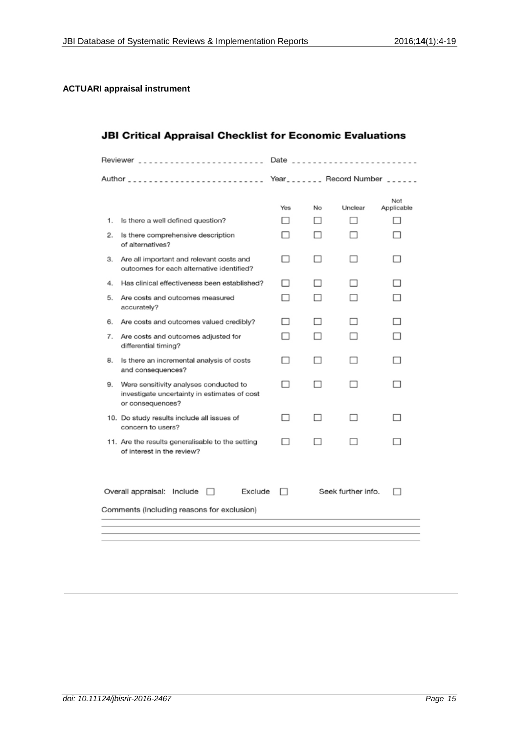## **ACTUARI appraisal instrument**

| <b>JBI Critical Appraisal Checklist for Economic Evaluations</b> |  |
|------------------------------------------------------------------|--|
|------------------------------------------------------------------|--|

|    | Reviewer ___________________________                                                                       | Date $\ldots$ |    |                                  |                          |
|----|------------------------------------------------------------------------------------------------------------|---------------|----|----------------------------------|--------------------------|
|    |                                                                                                            |               |    | Year_______ Record Number ______ |                          |
|    |                                                                                                            | Yes           | No | Unclear                          | Not<br>Applicable        |
| 1. | Is there a well defined question?                                                                          | п             |    |                                  | $\overline{\phantom{a}}$ |
| 2. | Is there comprehensive description<br>of alternatives?                                                     | п             |    |                                  |                          |
| З. | Are all important and relevant costs and<br>outcomes for each alternative identified?                      | ⊓             |    |                                  |                          |
| 4. | Has clinical effectiveness been established?                                                               | H             |    |                                  |                          |
| 5. | Are costs and outcomes measured<br>accurately?                                                             |               |    |                                  |                          |
| 6. | Are costs and outcomes valued credibly?                                                                    | п             | H  |                                  |                          |
| 7. | Are costs and outcomes adjusted for<br>differential timing?                                                |               |    |                                  |                          |
| 8. | Is there an incremental analysis of costs<br>and consequences?                                             | п             |    |                                  |                          |
| 9. | Were sensitivity analyses conducted to<br>investigate uncertainty in estimates of cost<br>or consequences? | п             |    |                                  |                          |
|    | 10. Do study results include all issues of<br>concern to users?                                            |               |    |                                  |                          |
|    | 11. Are the results generalisable to the setting<br>of interest in the review?                             |               |    |                                  |                          |
|    | Exclude<br>Overall appraisal: Include<br>$\Box$<br>Comments (Including reasons for exclusion)              |               |    | Seek further info.               |                          |
|    |                                                                                                            |               |    |                                  |                          |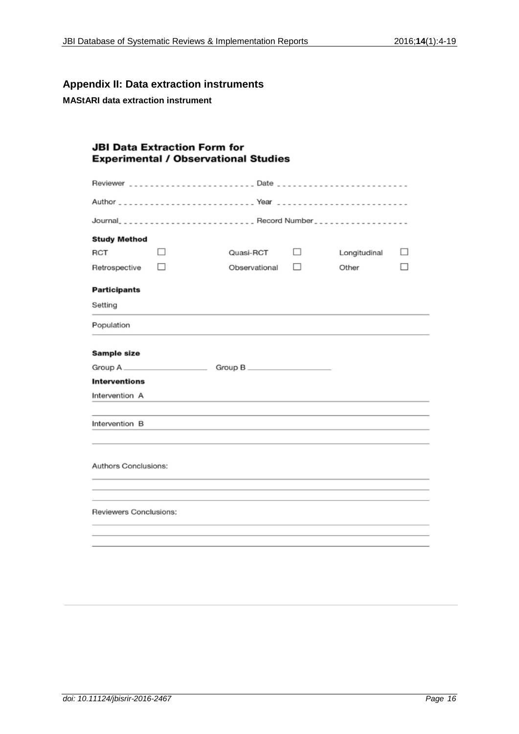## **Appendix II: Data extraction instruments**

**MAStARI data extraction instrument**

| <b>JBI Data Extraction Form for</b><br><b>Experimental / Observational Studies</b>                                                                                                                                                              |               |               |        |              |   |  |  |
|-------------------------------------------------------------------------------------------------------------------------------------------------------------------------------------------------------------------------------------------------|---------------|---------------|--------|--------------|---|--|--|
|                                                                                                                                                                                                                                                 | Reviewer Date |               |        |              |   |  |  |
|                                                                                                                                                                                                                                                 |               |               |        |              |   |  |  |
|                                                                                                                                                                                                                                                 |               |               |        |              |   |  |  |
| <b>Study Method</b>                                                                                                                                                                                                                             |               |               |        |              |   |  |  |
| RCT                                                                                                                                                                                                                                             | $\Box$        | Quasi-RCT     | $\Box$ | Longitudinal | ш |  |  |
| Retrospective                                                                                                                                                                                                                                   | П             | Observational | П      | Other        |   |  |  |
| <b>Participants</b>                                                                                                                                                                                                                             |               |               |        |              |   |  |  |
| Setting                                                                                                                                                                                                                                         |               |               |        |              |   |  |  |
| Population                                                                                                                                                                                                                                      |               |               |        |              |   |  |  |
| Sample size                                                                                                                                                                                                                                     |               |               |        |              |   |  |  |
|                                                                                                                                                                                                                                                 |               |               |        |              |   |  |  |
| <b>Interventions</b>                                                                                                                                                                                                                            |               |               |        |              |   |  |  |
| Intervention A<br>the control of the control of the control of the control of the control of the control of the control of the control of the control of the control of the control of the control of the control of the control of the control |               |               |        |              |   |  |  |
| Intervention B                                                                                                                                                                                                                                  |               |               |        |              |   |  |  |
| Authors Conclusions:                                                                                                                                                                                                                            |               |               |        |              |   |  |  |
| Reviewers Conclusions:                                                                                                                                                                                                                          |               |               |        |              |   |  |  |
|                                                                                                                                                                                                                                                 |               |               |        |              |   |  |  |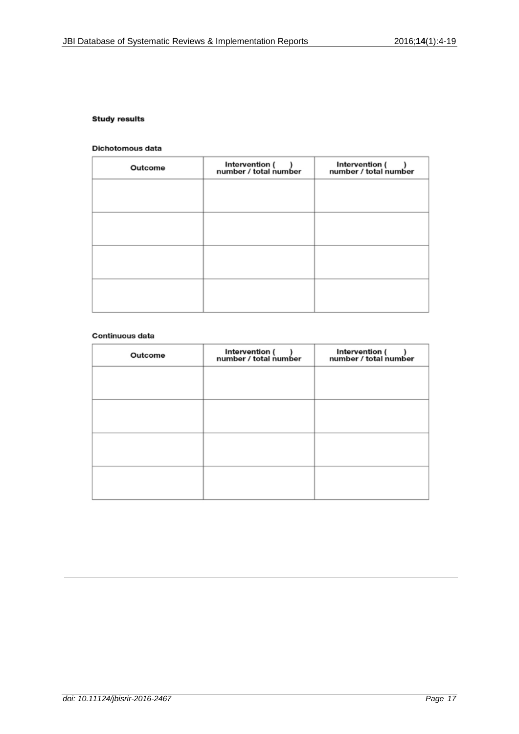#### **Study results**

#### Dichotomous data

| Outcome | Intervention ()<br>number / total number | Intervention ()<br>number / total number |
|---------|------------------------------------------|------------------------------------------|
|         |                                          |                                          |
|         |                                          |                                          |
|         |                                          |                                          |
|         |                                          |                                          |
|         |                                          |                                          |
|         |                                          |                                          |
|         |                                          |                                          |

#### Continuous data

| Outcome | Intervention ()<br>number / total number | Intervention ()<br>number / total number |
|---------|------------------------------------------|------------------------------------------|
|         |                                          |                                          |
|         |                                          |                                          |
|         |                                          |                                          |
|         |                                          |                                          |
|         |                                          |                                          |
|         |                                          |                                          |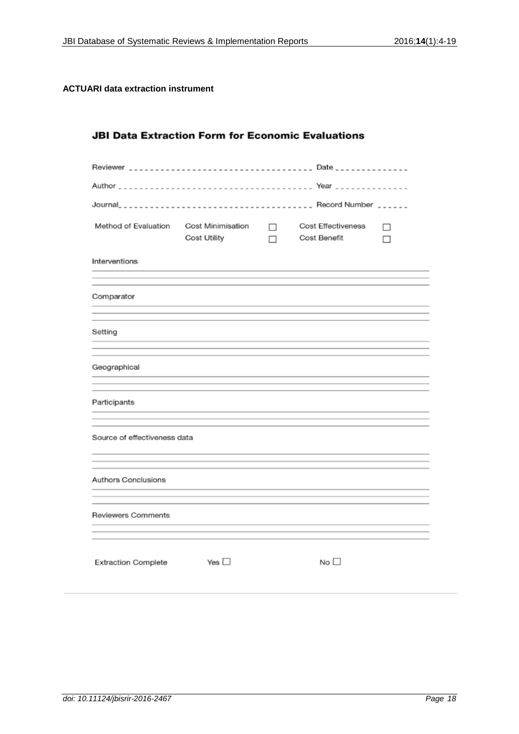## **ACTUARI data extraction instrument**

| <b>JBI Data Extraction Form for Economic Evaluations</b> |                     |             |                                    |        |
|----------------------------------------------------------|---------------------|-------------|------------------------------------|--------|
|                                                          |                     |             |                                    |        |
|                                                          |                     |             |                                    |        |
|                                                          |                     |             |                                    |        |
| Method of Evaluation Cost Minimisation                   | <b>Cost Utility</b> | $\Box$<br>п | Cost Effectiveness<br>Cost Benefit | п<br>П |
| Interventions                                            |                     |             |                                    |        |
|                                                          |                     |             |                                    |        |
| Comparator                                               |                     |             |                                    |        |
|                                                          |                     |             |                                    |        |
| Setting                                                  |                     |             |                                    |        |
|                                                          |                     |             |                                    |        |
| Geographical                                             |                     |             |                                    |        |
|                                                          |                     |             |                                    |        |
| Participants                                             |                     |             |                                    |        |
|                                                          |                     |             |                                    |        |
| Source of effectiveness data                             |                     |             |                                    |        |
|                                                          |                     |             |                                    |        |
| Authors Conclusions                                      |                     |             |                                    |        |
|                                                          |                     |             |                                    |        |
| Reviewers Comments                                       |                     |             |                                    |        |
|                                                          |                     |             |                                    |        |
| <b>Extraction Complete</b>                               | Yes $\square$       |             | No <sub>1</sub>                    |        |